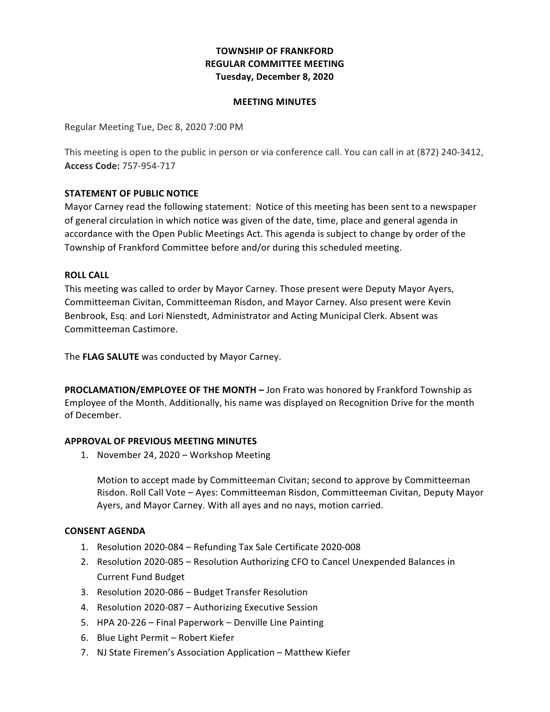# **TOWNSHIP OF FRANKFORD REGULAR COMMITTEE MEETING Tuesday, December 8, 2020**

## **MEETING MINUTES**

Regular Meeting Tue, Dec 8, 2020 7:00 PM

This meeting is open to the public in person or via conference call. You can call in at (872) 240-3412, **Access Code:** 757-954-717

## **STATEMENT OF PUBLIC NOTICE**

 Mayor Carney read the following statement: Notice of this meeting has been sent to a newspaper of general circulation in which notice was given of the date, time, place and general agenda in accordance with the Open Public Meetings Act. This agenda is subject to change by order of the Township of Frankford Committee before and/or during this scheduled meeting.

#### **ROLL CALL**

 This meeting was called to order by Mayor Carney. Those present were Deputy Mayor Ayers, Committeeman Civitan, Committeeman Risdon, and Mayor Carney. Also present were Kevin Benbrook, Esq. and Lori Nienstedt, Administrator and Acting Municipal Clerk. Absent was Committeeman Castimore.

The FLAG SALUTE was conducted by Mayor Carney.

**PROCLAMATION/EMPLOYEE OF THE MONTH** - Jon Frato was honored by Frankford Township as Employee of the Month. Additionally, his name was displayed on Recognition Drive for the month of December.

## **APPROVAL OF PREVIOUS MEETING MINUTES**

1. November 24, 2020 - Workshop Meeting

Motion to accept made by Committeeman Civitan; second to approve by Committeeman Risdon. Roll Call Vote - Ayes: Committeeman Risdon, Committeeman Civitan, Deputy Mayor Ayers, and Mayor Carney. With all ayes and no nays, motion carried.

## **CONSENT AGENDA**

- 1. Resolution 2020-084 Refunding Tax Sale Certificate 2020-008
- 2. Resolution 2020-085 Resolution Authorizing CFO to Cancel Unexpended Balances in Current Fund Budget
- 3. Resolution 2020-086 Budget Transfer Resolution
- 4. Resolution 2020-087 Authorizing Executive Session
- 5. HPA 20-226 Final Paperwork Denville Line Painting
- 6. Blue Light Permit Robert Kiefer
- 7. NJ State Firemen's Association Application Matthew Kiefer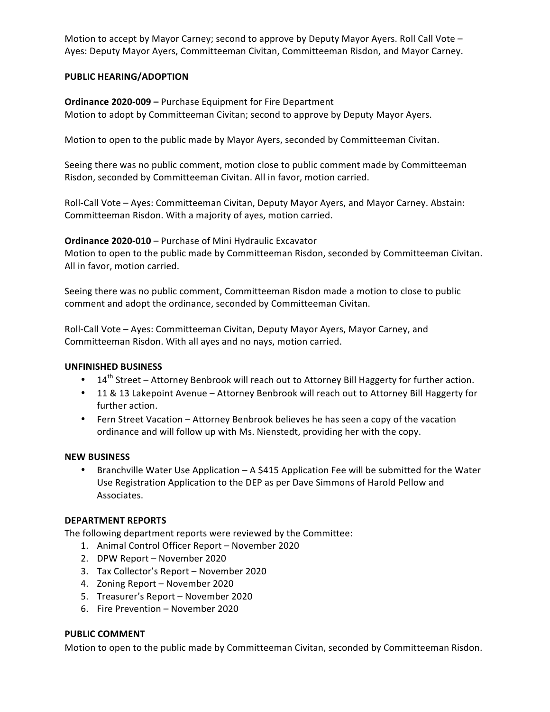Motion to accept by Mayor Carney; second to approve by Deputy Mayor Ayers. Roll Call Vote - Ayes: Deputy Mayor Ayers, Committeeman Civitan, Committeeman Risdon, and Mayor Carney.

# **PUBLIC HEARING/ADOPTION**

**Ordinance 2020-009 - Purchase Equipment for Fire Department** Motion to adopt by Committeeman Civitan; second to approve by Deputy Mayor Ayers.

 Motion to open to the public made by Mayor Ayers, seconded by Committeeman Civitan.

Seeing there was no public comment, motion close to public comment made by Committeeman Risdon, seconded by Committeeman Civitan. All in favor, motion carried.

Roll-Call Vote - Ayes: Committeeman Civitan, Deputy Mayor Ayers, and Mayor Carney. Abstain: Committeeman Risdon. With a majority of ayes, motion carried.

 **Ordinance 2020-010** – Purchase of Mini Hydraulic Excavator

 Motion to open to the public made by Committeeman Risdon, seconded by Committeeman Civitan. All in favor, motion carried.

Seeing there was no public comment, Committeeman Risdon made a motion to close to public comment and adopt the ordinance, seconded by Committeeman Civitan.

Roll-Call Vote – Ayes: Committeeman Civitan, Deputy Mayor Ayers, Mayor Carney, and Committeeman Risdon. With all ayes and no nays, motion carried.

## **UNFINISHED BUSINESS**

- $14<sup>th</sup>$  Street Attorney Benbrook will reach out to Attorney Bill Haggerty for further action.
- 11 & 13 Lakepoint Avenue Attorney Benbrook will reach out to Attorney Bill Haggerty for further action.
- Fern Street Vacation Attorney Benbrook believes he has seen a copy of the vacation ordinance and will follow up with Ms. Nienstedt, providing her with the copy.

## **NEW BUSINESS**

• Branchville Water Use Application - A \$415 Application Fee will be submitted for the Water Use Registration Application to the DEP as per Dave Simmons of Harold Pellow and Associates.

# **DEPARTMENT REPORTS**

 The following department reports were reviewed by the Committee:

- 1. Animal Control Officer Report November 2020
- 2. DPW Report November 2020
- 3. Tax Collector's Report November 2020
- 4. Zoning Report November 2020
- 5. Treasurer's Report November 2020
- 6. Fire Prevention November 2020

## **PUBLIC COMMENT**

 Motion to open to the public made by Committeeman Civitan, seconded by Committeeman Risdon.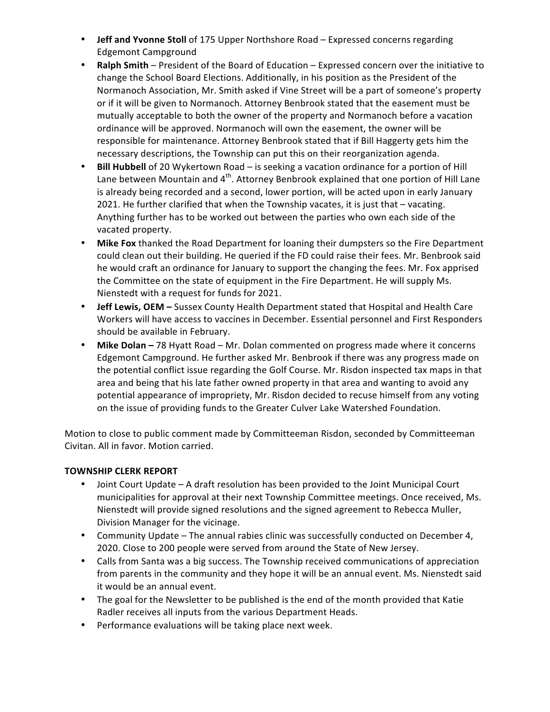- **Jeff and Yvonne Stoll** of 175 Upper Northshore Road Expressed concerns regarding Edgemont Campground
- **Ralph Smith** President of the Board of Education Expressed concern over the initiative to change the School Board Elections. Additionally, in his position as the President of the Normanoch Association, Mr. Smith asked if Vine Street will be a part of someone's property or if it will be given to Normanoch. Attorney Benbrook stated that the easement must be mutually acceptable to both the owner of the property and Normanoch before a vacation ordinance will be approved. Normanoch will own the easement, the owner will be responsible for maintenance. Attorney Benbrook stated that if Bill Haggerty gets him the necessary descriptions, the Township can put this on their reorganization agenda.
- **Bill Hubbell** of 20 Wykertown Road is seeking a vacation ordinance for a portion of Hill Lane between Mountain and 4<sup>th</sup>. Attorney Benbrook explained that one portion of Hill Lane is already being recorded and a second, lower portion, will be acted upon in early January 2021. He further clarified that when the Township vacates, it is just that - vacating. Anything further has to be worked out between the parties who own each side of the vacated property.
- Mike Fox thanked the Road Department for loaning their dumpsters so the Fire Department could clean out their building. He queried if the FD could raise their fees. Mr. Benbrook said he would craft an ordinance for January to support the changing the fees. Mr. Fox apprised the Committee on the state of equipment in the Fire Department. He will supply Ms. Nienstedt with a request for funds for 2021.
- **Jeff Lewis, OEM** Sussex County Health Department stated that Hospital and Health Care Workers will have access to vaccines in December. Essential personnel and First Responders should be available in February.
- **Mike Dolan** 78 Hyatt Road Mr. Dolan commented on progress made where it concerns Edgemont Campground. He further asked Mr. Benbrook if there was any progress made on the potential conflict issue regarding the Golf Course. Mr. Risdon inspected tax maps in that area and being that his late father owned property in that area and wanting to avoid any potential appearance of impropriety, Mr. Risdon decided to recuse himself from any voting on the issue of providing funds to the Greater Culver Lake Watershed Foundation.

 Motion to close to public comment made by Committeeman Risdon, seconded by Committeeman Civitan. All in favor. Motion carried.

# **TOWNSHIP CLERK REPORT**

- Joint Court Update A draft resolution has been provided to the Joint Municipal Court municipalities for approval at their next Township Committee meetings. Once received, Ms. Nienstedt will provide signed resolutions and the signed agreement to Rebecca Muller, Division Manager for the vicinage.
- Community Update The annual rabies clinic was successfully conducted on December 4, 2020. Close to 200 people were served from around the State of New Jersey.
- Calls from Santa was a big success. The Township received communications of appreciation from parents in the community and they hope it will be an annual event. Ms. Nienstedt said it would be an annual event.
- The goal for the Newsletter to be published is the end of the month provided that Katie Radler receives all inputs from the various Department Heads.
- Performance evaluations will be taking place next week.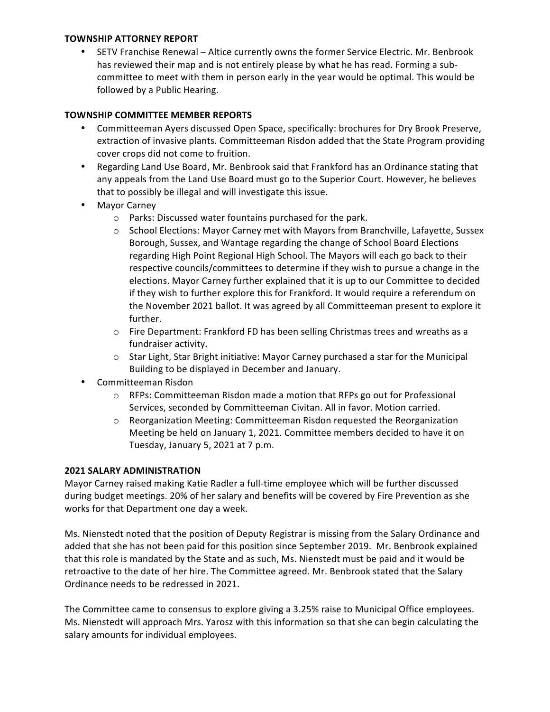# **TOWNSHIP ATTORNEY REPORT**

• SETV Franchise Renewal – Altice currently owns the former Service Electric. Mr. Benbrook has reviewed their map and is not entirely please by what he has read. Forming a subcommittee to meet with them in person early in the year would be optimal. This would be followed by a Public Hearing.

# **TOWNSHIP COMMITTEE MEMBER REPORTS**

- Committeeman Ayers discussed Open Space, specifically: brochures for Dry Brook Preserve, extraction of invasive plants. Committeeman Risdon added that the State Program providing cover crops did not come to fruition.
- Regarding Land Use Board, Mr. Benbrook said that Frankford has an Ordinance stating that any appeals from the Land Use Board must go to the Superior Court. However, he believes that to possibly be illegal and will investigate this issue.
- Mayor Carney
	- $\circ$  Parks: Discussed water fountains purchased for the park.
	- $\circ$  School Elections: Mayor Carney met with Mayors from Branchville, Lafayette, Sussex Borough, Sussex, and Wantage regarding the change of School Board Elections regarding High Point Regional High School. The Mayors will each go back to their respective councils/committees to determine if they wish to pursue a change in the elections. Mayor Carney further explained that it is up to our Committee to decided if they wish to further explore this for Frankford. It would require a referendum on the November 2021 ballot. It was agreed by all Committeeman present to explore it further.
	- $\circ$  Fire Department: Frankford FD has been selling Christmas trees and wreaths as a fundraiser activity.
	- $\circ$  Star Light, Star Bright initiative: Mayor Carney purchased a star for the Municipal Building to be displayed in December and January.
- Committeeman Risdon
	- $\circ$  RFPs: Committeeman Risdon made a motion that RFPs go out for Professional Services, seconded by Committeeman Civitan. All in favor. Motion carried.
	- Meeting be held on January 1, 2021. Committee members decided to have it on Tuesday, January 5, 2021 at 7 p.m.  $\circ$  Reorganization Meeting: Committeeman Risdon requested the Reorganization

# **2021 SALARY ADMINISTRATION**

Mayor Carney raised making Katie Radler a full-time employee which will be further discussed during budget meetings. 20% of her salary and benefits will be covered by Fire Prevention as she works for that Department one day a week.

Ms. Nienstedt noted that the position of Deputy Registrar is missing from the Salary Ordinance and added that she has not been paid for this position since September 2019. Mr. Benbrook explained that this role is mandated by the State and as such, Ms. Nienstedt must be paid and it would be retroactive to the date of her hire. The Committee agreed. Mr. Benbrook stated that the Salary Ordinance needs to be redressed in 2021.

 The Committee came to consensus to explore giving a 3.25% raise to Municipal Office employees. Ms. Nienstedt will approach Mrs. Yarosz with this information so that she can begin calculating the salary amounts for individual employees.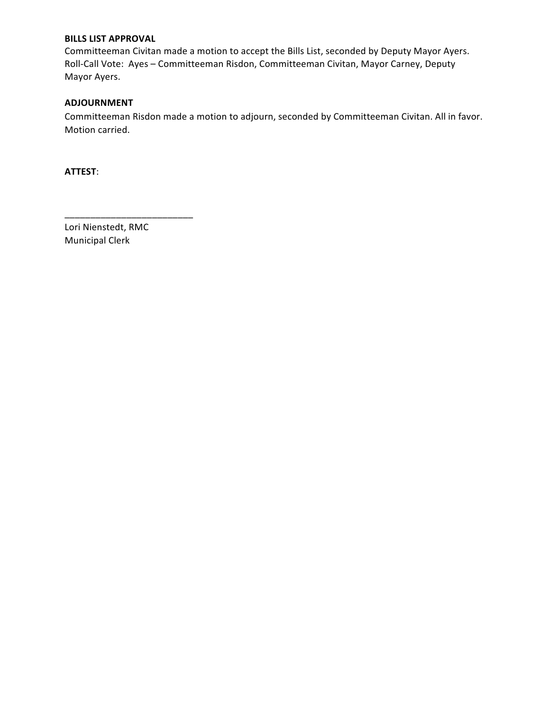# **BILLS LIST APPROVAL**

Committeeman Civitan made a motion to accept the Bills List, seconded by Deputy Mayor Ayers. Roll-Call Vote: Ayes – Committeeman Risdon, Committeeman Civitan, Mayor Carney, Deputy Mayor Ayers.

# **ADJOURNMENT**

Committeeman Risdon made a motion to adjourn, seconded by Committeeman Civitan. All in favor. Motion carried.

**ATTEST**:

Lori Nienstedt, RMC Municipal Clerk

\_\_\_\_\_\_\_\_\_\_\_\_\_\_\_\_\_\_\_\_\_\_\_\_\_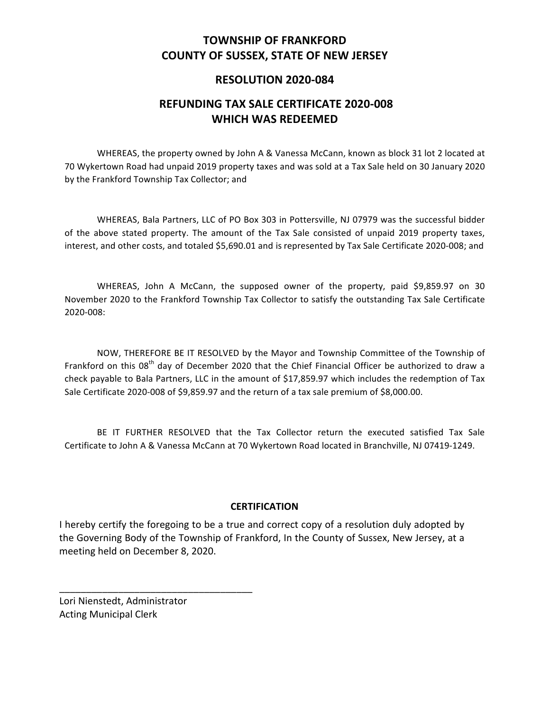# **COUNTY OF SUSSEX, STATE OF NEW JERSEY TOWNSHIP OF FRANKFORD**

# **RESOLUTION 2020-084**

# **REFUNDING TAX SALE CERTIFICATE 2020-008 WHICH WAS REDEEMED**

WHEREAS, the property owned by John A & Vanessa McCann, known as block 31 lot 2 located at 70 Wykertown Road had unpaid 2019 property taxes and was sold at a Tax Sale held on 30 January 2020 by the Frankford Township Tax Collector; and

 WHEREAS, Bala Partners, LLC of PO Box 303 in Pottersville, NJ 07979 was the successful bidder of the above stated property. The amount of the Tax Sale consisted of unpaid 2019 property taxes, interest, and other costs, and totaled \$5,690.01 and is represented by Tax Sale Certificate 2020-008; and

 WHEREAS, John A McCann, the supposed owner of the property, paid \$9,859.97 on 30 November 2020 to the Frankford Township Tax Collector to satisfy the outstanding Tax Sale Certificate 2020-008:

NOW, THEREFORE BE IT RESOLVED by the Mayor and Township Committee of the Township of Frankford on this 08<sup>th</sup> day of December 2020 that the Chief Financial Officer be authorized to draw a check payable to Bala Partners, LLC in the amount of \$17,859.97 which includes the redemption of Tax Sale Certificate 2020-008 of \$9,859.97 and the return of a tax sale premium of \$8,000.00.

BE IT FURTHER RESOLVED that the Tax Collector return the executed satisfied Tax Sale Certificate to John A & Vanessa McCann at 70 Wykertown Road located in Branchville, NJ 07419-1249.

# **CERTIFICATION**

I hereby certify the foregoing to be a true and correct copy of a resolution duly adopted by the Governing Body of the Township of Frankford, In the County of Sussex, New Jersey, at a meeting held on December 8, 2020.

 Lori Nienstedt, Administrator Acting Municipal Clerk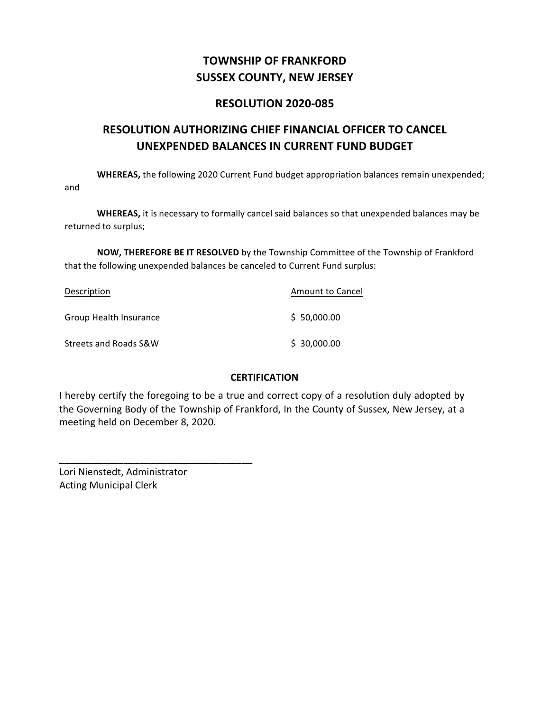# **SUSSEX COUNTY, NEW JERSEY TOWNSHIP OF FRANKFORD**

# **RESOLUTION 2020-085**

# **RESOLUTION AUTHORIZING CHIEF FINANCIAL OFFICER TO CANCEL UNEXPENDED BALANCES IN CURRENT FUND BUDGET**

WHEREAS, the following 2020 Current Fund budget appropriation balances remain unexpended; and

 returned to surplus; **WHEREAS,** it is necessary to formally cancel said balances so that unexpended balances may be

**NOW, THEREFORE BE IT RESOLVED** by the Township Committee of the Township of Frankford that the following unexpended balances be canceled to Current Fund surplus:

| Description            | Amount to Cancel |
|------------------------|------------------|
| Group Health Insurance | \$50,000.00      |
| Streets and Roads S&W  | \$30,000.00      |

# **CERTIFICATION**

I hereby certify the foregoing to be a true and correct copy of a resolution duly adopted by the Governing Body of the Township of Frankford, In the County of Sussex, New Jersey, at a meeting held on December 8, 2020.

 Acting Municipal ClerkLori Nienstedt, Administrator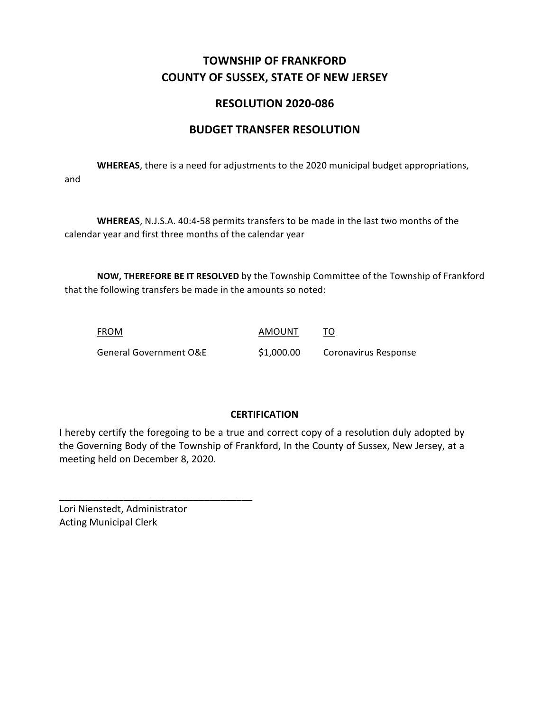# **COUNTY OF SUSSEX, STATE OF NEW JERSEY TOWNSHIP OF FRANKFORD**

# **RESOLUTION 2020-086**

# **BUDGET TRANSFER RESOLUTION**

**WHEREAS**, there is a need for adjustments to the 2020 municipal budget appropriations, and

WHEREAS, N.J.S.A. 40:4-58 permits transfers to be made in the last two months of the calendar year and first three months of the calendar year

**NOW, THEREFORE BE IT RESOLVED** by the Township Committee of the Township of Frankford that the following transfers be made in the amounts so noted:

| FROM                              | AMOUNT     |                      |
|-----------------------------------|------------|----------------------|
| <b>General Government O&amp;E</b> | \$1,000.00 | Coronavirus Response |

# **CERTIFICATION**

I hereby certify the foregoing to be a true and correct copy of a resolution duly adopted by the Governing Body of the Township of Frankford, In the County of Sussex, New Jersey, at a meeting held on December 8, 2020.

 Lori Nienstedt, Administrator Acting Municipal Clerk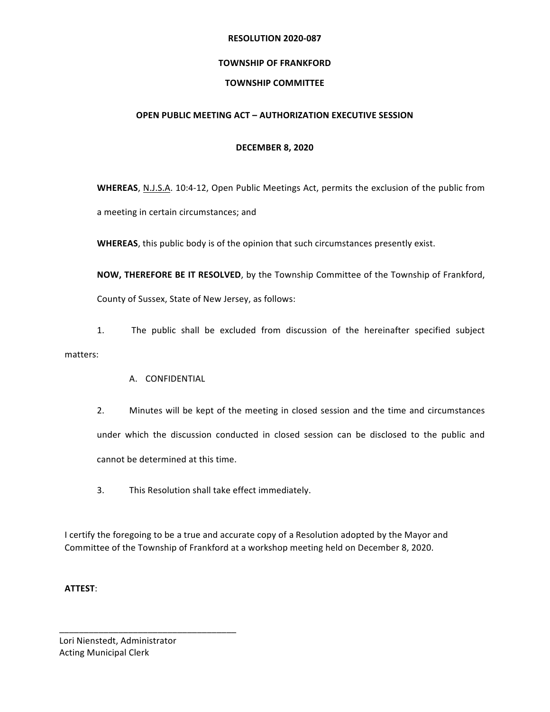#### **RESOLUTION 2020-087**

# **TOWNSHIP OF FRANKFORD**

# **TOWNSHIP COMMITTEE**

# **OPEN PUBLIC MEETING ACT – AUTHORIZATION EXECUTIVE SESSION**

## **DECEMBER 8, 2020**

WHEREAS, N.J.S.A. 10:4-12, Open Public Meetings Act, permits the exclusion of the public from a meeting in certain circumstances; and

**WHEREAS**, this public body is of the opinion that such circumstances presently exist.

**NOW, THEREFORE BE IT RESOLVED**, by the Township Committee of the Township of Frankford, County of Sussex, State of New Jersey, as follows:

 1. The public shall be excluded from discussion of the hereinafter specified subject matters:

# A. CONFIDENTIAL

- 2. Minutes will be kept of the meeting in closed session and the time and circumstances under which the discussion conducted in closed session can be disclosed to the public and cannot be determined at this time.
- 3. This Resolution shall take effect immediately.

Committee of the Township of Frankford at a workshop meeting held on December 8, 2020. I certify the foregoing to be a true and accurate copy of a Resolution adopted by the Mayor and

**ATTEST**:

 Lori Nienstedt, Administrator Acting Municipal Clerk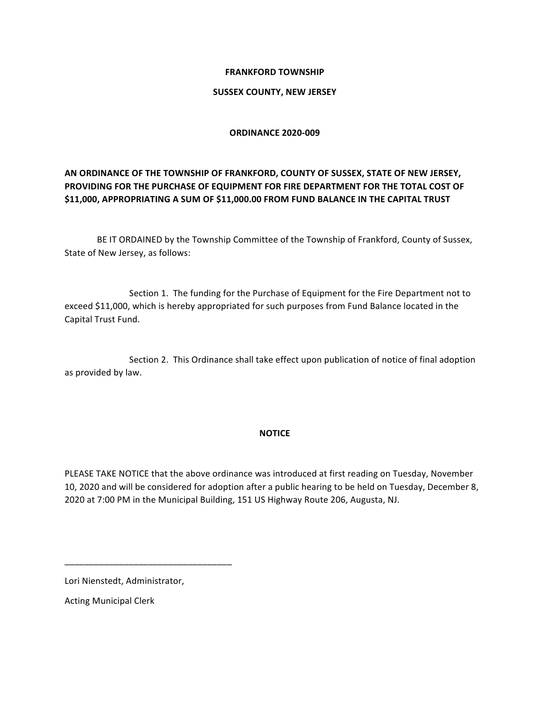## **SUSSEX COUNTY, NEW JERSEY**

### **ORDINANCE 2020-009**

# **AN ORDINANCE OF THE TOWNSHIP OF FRANKFORD, COUNTY OF SUSSEX, STATE OF NEW JERSEY, PROVIDING FOR THE PURCHASE OF EQUIPMENT FOR FIRE DEPARTMENT FOR THE TOTAL COST OF**  $\frac{1}{2}$  **APPROPRIATING** A SUM OF \$11,000.00 FROM FUND BALANCE IN THE CAPITAL TRUST

BE IT ORDAINED by the Township Committee of the Township of Frankford, County of Sussex, State of New Jersey, as follows:

Section 1. The funding for the Purchase of Equipment for the Fire Department not to exceed \$11,000, which is hereby appropriated for such purposes from Fund Balance located in the Capital Trust Fund.

Section 2. This Ordinance shall take effect upon publication of notice of final adoption as provided by law.

## **NOTICE**

PLEASE TAKE NOTICE that the above ordinance was introduced at first reading on Tuesday, November 10, 2020 and will be considered for adoption after a public hearing to be held on Tuesday, December 8, 2020 at 7:00 PM in the Municipal Building, 151 US Highway Route 206, Augusta, NJ.

 Lori Nienstedt, Administrator,

\_\_\_\_\_\_\_\_\_\_\_\_\_\_\_\_\_\_\_\_\_\_\_\_\_\_\_\_\_\_\_\_\_\_

 Acting Municipal Clerk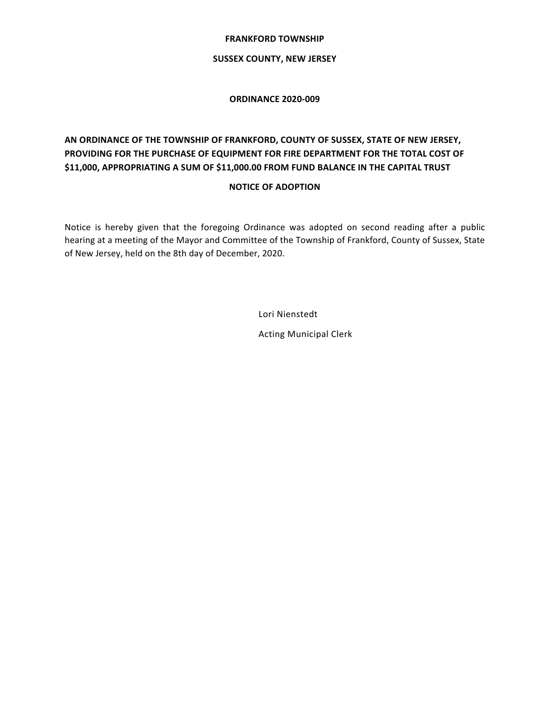#### **SUSSEX COUNTY, NEW JERSEY**

#### **ORDINANCE 2020-009**

# **AN ORDINANCE OF THE TOWNSHIP OF FRANKFORD, COUNTY OF SUSSEX, STATE OF NEW JERSEY, PROVIDING FOR THE PURCHASE OF EQUIPMENT FOR FIRE DEPARTMENT FOR THE TOTAL COST OF**  $\frac{1}{2}$  **APPROPRIATING** A SUM OF \$11,000.00 FROM FUND BALANCE IN THE CAPITAL TRUST

## **NOTICE OF ADOPTION**

 Notice is hereby given that the foregoing Ordinance was adopted on second reading after a public hearing at a meeting of the Mayor and Committee of the Township of Frankford, County of Sussex, State of New Jersey, held on the 8th day of December, 2020.

Lori Nienstedt

 Acting Municipal Clerk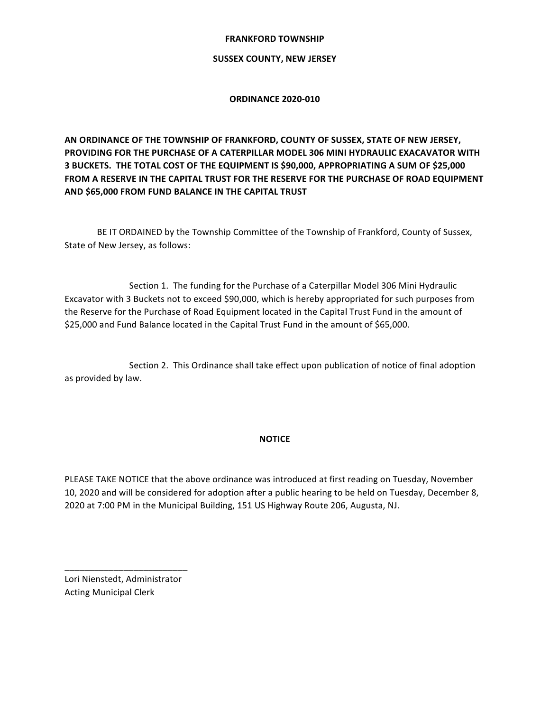#### **SUSSEX COUNTY, NEW JERSEY**

#### **ORDINANCE 2020-010**

 **AN ORDINANCE OF THE TOWNSHIP OF FRANKFORD, COUNTY OF SUSSEX, STATE OF NEW JERSEY, PROVIDING FOR THE PURCHASE OF A CATERPILLAR MODEL 306 MINI HYDRAULIC EXACAVATOR WITH 3 BUCKETS. THE TOTAL COST OF THE EQUIPMENT IS \$90,000, APPROPRIATING A SUM OF \$25,000 FROM A RESERVE IN THE CAPITAL TRUST FOR THE RESERVE FOR THE PURCHASE OF ROAD EQUIPMENT AND \$65,000 FROM FUND BALANCE IN THE CAPITAL TRUST**

BE IT ORDAINED by the Township Committee of the Township of Frankford, County of Sussex, State of New Jersey, as follows:

Section 1. The funding for the Purchase of a Caterpillar Model 306 Mini Hydraulic Excavator with 3 Buckets not to exceed \$90,000, which is hereby appropriated for such purposes from the Reserve for the Purchase of Road Equipment located in the Capital Trust Fund in the amount of \$25,000 and Fund Balance located in the Capital Trust Fund in the amount of \$65,000.

Section 2. This Ordinance shall take effect upon publication of notice of final adoption as provided by law.

#### **NOTICE**

PLEASE TAKE NOTICE that the above ordinance was introduced at first reading on Tuesday, November 10, 2020 and will be considered for adoption after a public hearing to be held on Tuesday, December 8, 2020 at 7:00 PM in the Municipal Building, 151 US Highway Route 206, Augusta, NJ.

 Acting Municipal ClerkLori Nienstedt, Administrator

\_\_\_\_\_\_\_\_\_\_\_\_\_\_\_\_\_\_\_\_\_\_\_\_\_